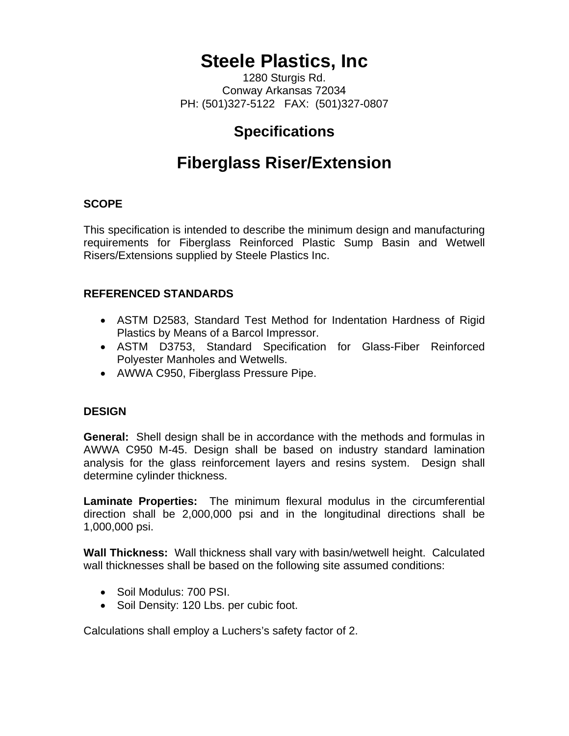# **Steele Plastics, Inc**

1280 Sturgis Rd. Conway Arkansas 72034 PH: (501)327-5122 FAX: (501)327-0807

## **Specifications**

# **Fiberglass Riser/Extension**

#### **SCOPE**

This specification is intended to describe the minimum design and manufacturing requirements for Fiberglass Reinforced Plastic Sump Basin and Wetwell Risers/Extensions supplied by Steele Plastics Inc.

### **REFERENCED STANDARDS**

- ASTM D2583, Standard Test Method for Indentation Hardness of Rigid Plastics by Means of a Barcol Impressor.
- ASTM D3753, Standard Specification for Glass-Fiber Reinforced Polyester Manholes and Wetwells.
- AWWA C950, Fiberglass Pressure Pipe.

#### **DESIGN**

**General:** Shell design shall be in accordance with the methods and formulas in AWWA C950 M-45. Design shall be based on industry standard lamination analysis for the glass reinforcement layers and resins system. Design shall determine cylinder thickness.

**Laminate Properties:** The minimum flexural modulus in the circumferential direction shall be 2,000,000 psi and in the longitudinal directions shall be 1,000,000 psi.

**Wall Thickness:** Wall thickness shall vary with basin/wetwell height. Calculated wall thicknesses shall be based on the following site assumed conditions:

- Soil Modulus: 700 PSI.
- Soil Density: 120 Lbs. per cubic foot.

Calculations shall employ a Luchers's safety factor of 2.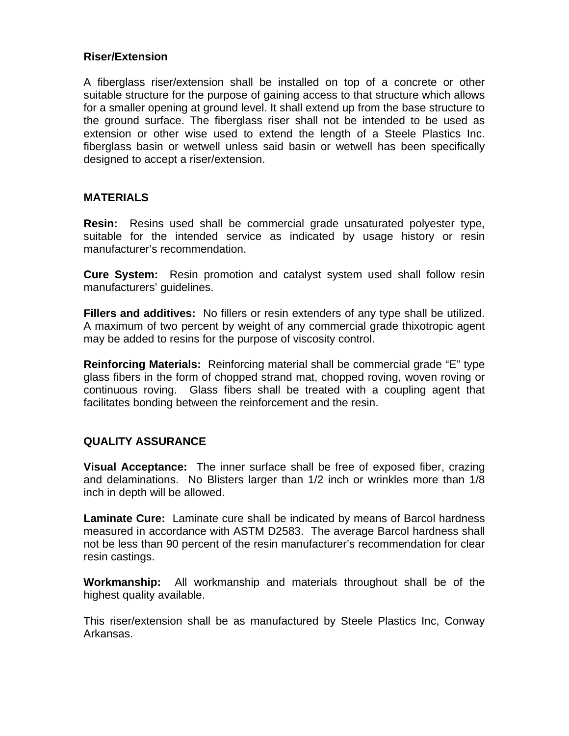#### **Riser/Extension**

A fiberglass riser/extension shall be installed on top of a concrete or other suitable structure for the purpose of gaining access to that structure which allows for a smaller opening at ground level. It shall extend up from the base structure to the ground surface. The fiberglass riser shall not be intended to be used as extension or other wise used to extend the length of a Steele Plastics Inc. fiberglass basin or wetwell unless said basin or wetwell has been specifically designed to accept a riser/extension.

#### **MATERIALS**

**Resin:** Resins used shall be commercial grade unsaturated polyester type, suitable for the intended service as indicated by usage history or resin manufacturer's recommendation.

**Cure System:** Resin promotion and catalyst system used shall follow resin manufacturers' guidelines.

**Fillers and additives:** No fillers or resin extenders of any type shall be utilized. A maximum of two percent by weight of any commercial grade thixotropic agent may be added to resins for the purpose of viscosity control.

**Reinforcing Materials:** Reinforcing material shall be commercial grade "E" type glass fibers in the form of chopped strand mat, chopped roving, woven roving or continuous roving. Glass fibers shall be treated with a coupling agent that facilitates bonding between the reinforcement and the resin.

### **QUALITY ASSURANCE**

**Visual Acceptance:** The inner surface shall be free of exposed fiber, crazing and delaminations. No Blisters larger than 1/2 inch or wrinkles more than 1/8 inch in depth will be allowed.

**Laminate Cure:** Laminate cure shall be indicated by means of Barcol hardness measured in accordance with ASTM D2583. The average Barcol hardness shall not be less than 90 percent of the resin manufacturer's recommendation for clear resin castings.

**Workmanship:** All workmanship and materials throughout shall be of the highest quality available.

This riser/extension shall be as manufactured by Steele Plastics Inc, Conway Arkansas.